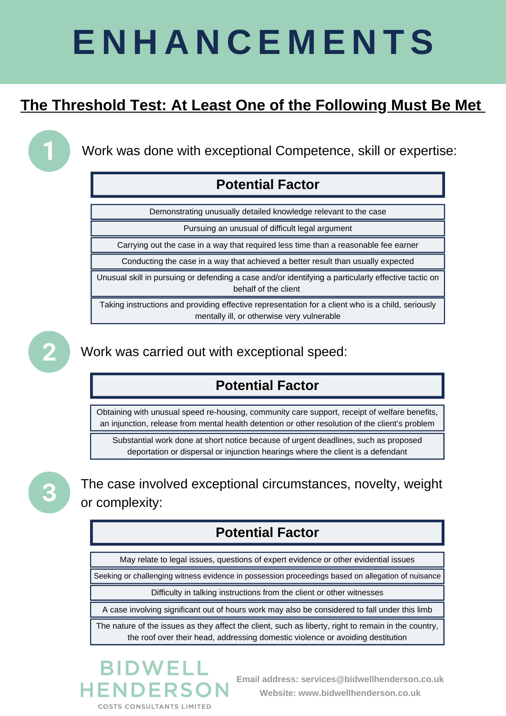### **Potential Factor**

Demonstrating unusually detailed knowledge relevant to the case

Pursuing an unusual of difficult legal argument

Carrying out the case in a way that required less time than a reasonable fee earner

Conducting the case in a way that achieved a better result than usually expected

Unusual skill in pursuing or defending a case and/or identifying a particularly effective tactic on behalf of the client

#### **Potential Factor**

### **Potential Factor**

May relate to legal issues, questions of expert evidence or other evidential issues

Seeking or challenging witness evidence in possession proceedings based on allegation of nuisance

Difficulty in talking instructions from the client or other witnesses

A case involving significant out of hours work may also be considered to fall under this limb

Taking instructions and providing effective representation for a client who is a child, seriously mentally ill, or otherwise very vulnerable



Obtaining with unusual speed re-housing, community care support, receipt of welfare benefits, an injunction, release from mental health detention or other resolution of the client's problem

Substantial work done at short notice because of urgent deadlines, such as proposed deportation or dispersal or injunction hearings where the client is a defendant



The nature of the issues as they affect the client, such as liberty, right to remain in the country, the roof over their head, addressing domestic violence or avoiding destitution

## **BIDWELL** HENDERSON

# **E N H A N C E M E N T S**

## **The Threshold Test: At Least One of the Following Must Be Met**

Work was done with exceptional Competence, skill or expertise:

Work was carried out with exceptional speed:



The case involved exceptional circumstances, novelty, weight or complexity:

> **Email address: services@bidwellhenderson.co.uk Website: www.bidwellhenderson.co.uk**

**COSTS CONSULTANTS LIMITED**